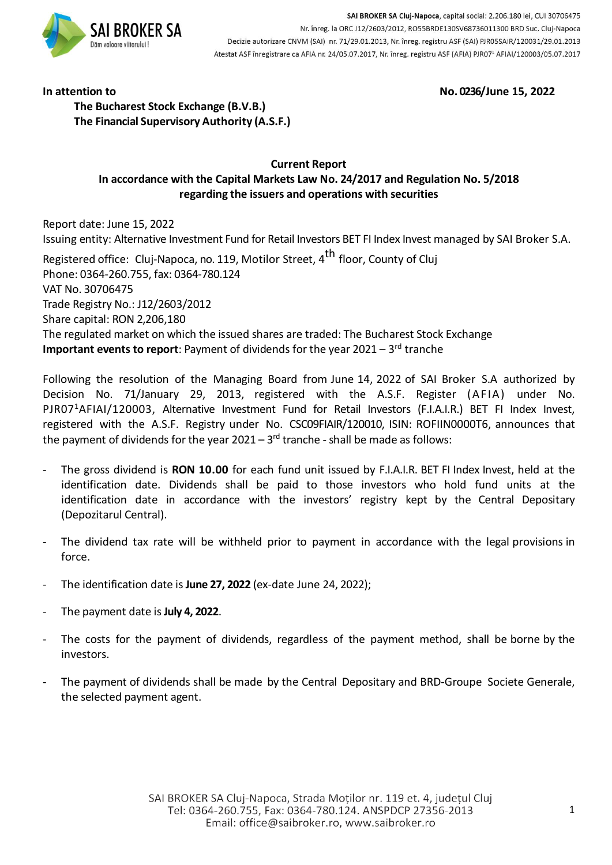

SAI BROKER SA Cluj-Napoca, capital social: 2.206.180 lei, CUI 30706475 Nr. înreg. la ORC J12/2603/2012, RO55BRDE130SV68736011300 BRD Suc. Cluj-Napoca Decizie autorizare CNVM (SAI) nr. 71/29.01.2013, Nr. înreg. registru ASF (SAI) PJR05SAIR/120031/29.01.2013 Atestat ASF înregistrare ca AFIA nr. 24/05.07.2017, Nr. înreg. registru ASF (AFIA) PJR07<sup>1</sup> AFIAI/120003/05.07.2017

**In attention to No. 0236/June 15, 2022**

**The Bucharest Stock Exchange (B.V.B.) The Financial Supervisory Authority (A.S.F.)**

# **Current Report In accordance with the Capital Markets Law No. 24/2017 and Regulation No. 5/2018 regarding the issuers and operations with securities**

Report date: June 15, 2022 Issuing entity: Alternative Investment Fund for Retail Investors BET FI Index Invest managed by SAI Broker S.A.

Registered office: Cluj-Napoca, no. 119, Motilor Street, 4<sup>th</sup> floor, County of Cluj Phone: 0364-260.755, fax: 0364-780.124 VAT No. 30706475 Trade Registry No.: J12/2603/2012 Share capital: RON 2,206,180 The regulated market on which the issued shares are traded: The Bucharest Stock Exchange **Important events to report**: Payment of dividends for the year 2021 – 3 rd tranche

Following the resolution of the Managing Board from June 14, 2022 of SAI Broker S.A authorized by Decision No. 71/January 29, 2013, registered with the A.S.F. Register (AFIA) under No. PJR07<sup>1</sup>AFIAI/120003, Alternative Investment Fund for Retail Investors (F.I.A.I.R.) BET FI Index Invest, registered with the A.S.F. Registry under No. CSC09FIAIR/120010, ISIN: ROFIIN0000T6, announces that the payment of dividends for the year 2021 – 3<sup>rd</sup> tranche - shall be made as follows:

- The gross dividend is **RON 10.00** for each fund unit issued by F.I.A.I.R. BET FI Index Invest, held at the identification date. Dividends shall be paid to those investors who hold fund units at the identification date in accordance with the investors' registry kept by the Central Depositary (Depozitarul Central).
- The dividend tax rate will be withheld prior to payment in accordance with the legal provisions in force.
- The identification date is**June 27, 2022** (ex-date June 24, 2022);
- The payment date is**July 4, 2022**.
- The costs for the payment of dividends, regardless of the payment method, shall be borne by the investors.
- The payment of dividends shall be made by the Central Depositary and BRD-Groupe Societe Generale, the selected payment agent.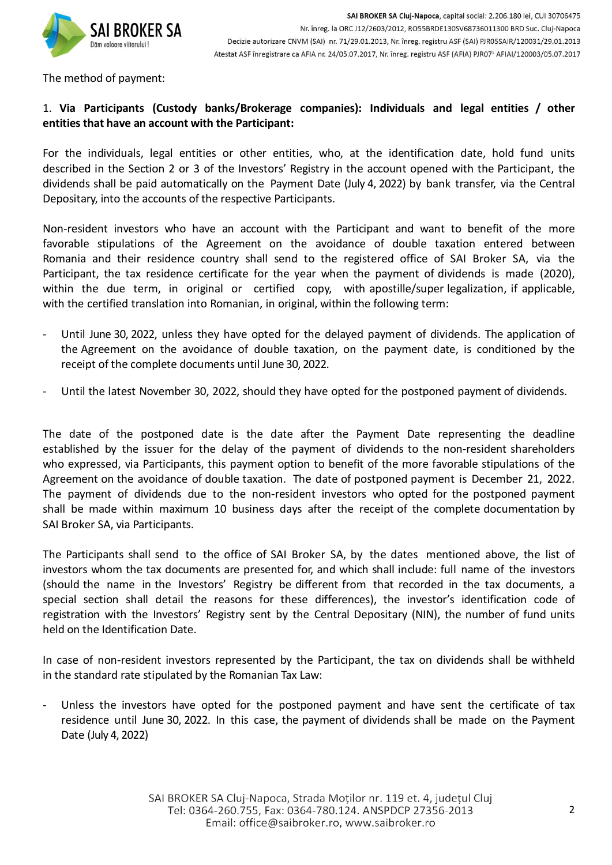

The method of payment:

### 1. **Via Participants (Custody banks/Brokerage companies): Individuals and legal entities / other entities that have an account with the Participant:**

For the individuals, legal entities or other entities, who, at the identification date, hold fund units described in the Section 2 or 3 of the Investors' Registry in the account opened with the Participant, the dividends shall be paid automatically on the Payment Date (July 4, 2022) by bank transfer, via the Central Depositary, into the accounts of the respective Participants.

Non-resident investors who have an account with the Participant and want to benefit of the more favorable stipulations of the Agreement on the avoidance of double taxation entered between Romania and their residence country shall send to the registered office of SAI Broker SA, via the Participant, the tax residence certificate for the year when the payment of dividends is made (2020), within the due term, in original or certified copy, with apostille/super legalization, if applicable, with the certified translation into Romanian, in original, within the following term:

- Until June 30, 2022, unless they have opted for the delayed payment of dividends. The application of the Agreement on the avoidance of double taxation, on the payment date, is conditioned by the receipt of the complete documents until June 30, 2022.
- Until the latest November 30, 2022, should they have opted for the postponed payment of dividends.

The date of the postponed date is the date after the Payment Date representing the deadline established by the issuer for the delay of the payment of dividends to the non-resident shareholders who expressed, via Participants, this payment option to benefit of the more favorable stipulations of the Agreement on the avoidance of double taxation. The date of postponed payment is December 21, 2022. The payment of dividends due to the non-resident investors who opted for the postponed payment shall be made within maximum 10 business days after the receipt of the complete documentation by SAI Broker SA, via Participants.

The Participants shall send to the office of SAI Broker SA, by the dates mentioned above, the list of investors whom the tax documents are presented for, and which shall include: full name of the investors (should the name in the Investors' Registry be different from that recorded in the tax documents, a special section shall detail the reasons for these differences), the investor's identification code of registration with the Investors' Registry sent by the Central Depositary (NIN), the number of fund units held on the Identification Date.

In case of non-resident investors represented by the Participant, the tax on dividends shall be withheld in the standard rate stipulated by the Romanian Tax Law:

- Unless the investors have opted for the postponed payment and have sent the certificate of tax residence until June 30, 2022. In this case, the payment of dividends shall be made on the Payment Date (July 4, 2022)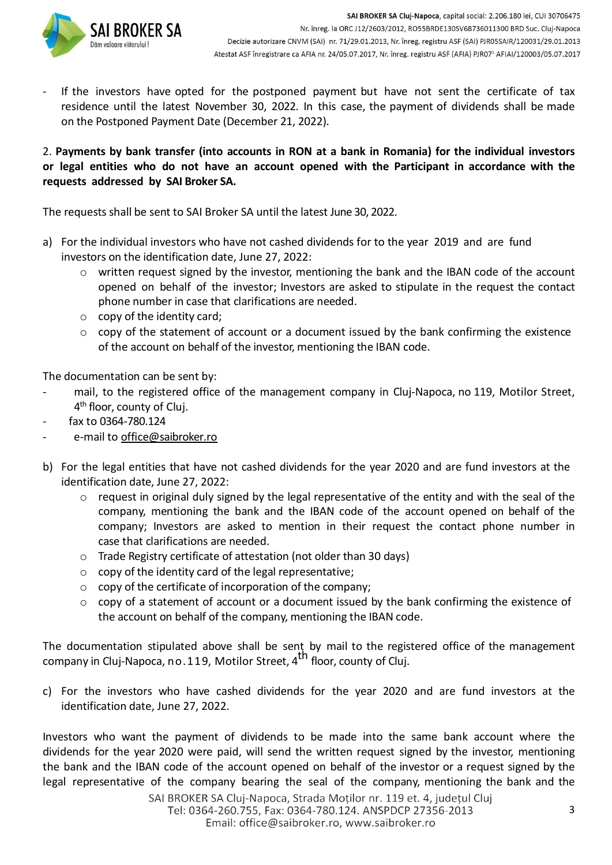If the investors have opted for the postponed payment but have not sent the certificate of tax residence until the latest November 30, 2022. In this case, the payment of dividends shall be made on the Postponed Payment Date (December 21, 2022).

### 2. **Payments by bank transfer (into accounts in RON at a bank in Romania) for the individual investors or legal entities who do not have an account opened with the Participant in accordance with the requests addressed by SAI Broker SA.**

The requests shall be sent to SAI Broker SA until the latest June 30, 2022.

- a) For the individual investors who have not cashed dividends for to the year 2019 and are fund investors on the identification date, June 27, 2022:
	- o written request signed by the investor, mentioning the bank and the IBAN code of the account opened on behalf of the investor; Investors are asked to stipulate in the request the contact phone number in case that clarifications are needed.
	- o copy of the identity card;
	- $\circ$  copy of the statement of account or a document issued by the bank confirming the existence of the account on behalf of the investor, mentioning the IBAN code.

The documentation can be sent by:

- mail, to the registered office of the management company in Cluj-Napoca, no 119, Motilor Street, 4<sup>th</sup> floor, county of Cluj.
- fax to 0364-780.124
- e-mail to [office@saibroker.ro](mailto:office@saibroker.ro)
- b) For the legal entities that have not cashed dividends for the year 2020 and are fund investors at the identification date, June 27, 2022:
	- o request in original duly signed by the legal representative of the entity and with the seal of the company, mentioning the bank and the IBAN code of the account opened on behalf of the company; Investors are asked to mention in their request the contact phone number in case that clarifications are needed.
	- o Trade Registry certificate of attestation (not older than 30 days)
	- $\circ$  copy of the identity card of the legal representative:
	- o copy of the certificate of incorporation of the company;
	- $\circ$  copy of a statement of account or a document issued by the bank confirming the existence of the account on behalf of the company, mentioning the IBAN code.

The documentation stipulated above shall be sent by mail to the registered office of the management company in Cluj-Napoca, no.119, Motilor Street, 4<sup>th</sup> floor, county of Cluj.

c) For the investors who have cashed dividends for the year 2020 and are fund investors at the identification date, June 27, 2022.

Investors who want the payment of dividends to be made into the same bank account where the dividends for the year 2020 were paid, will send the written request signed by the investor, mentioning the bank and the IBAN code of the account opened on behalf of the investor or a request signed by the legal representative of the company bearing the seal of the company, mentioning the bank and the

SAI BROKER SA Cluj-Napoca, Strada Moților nr. 119 et. 4, județul Cluj Tel: 0364-260.755, Fax: 0364-780.124. ANSPDCP 27356-2013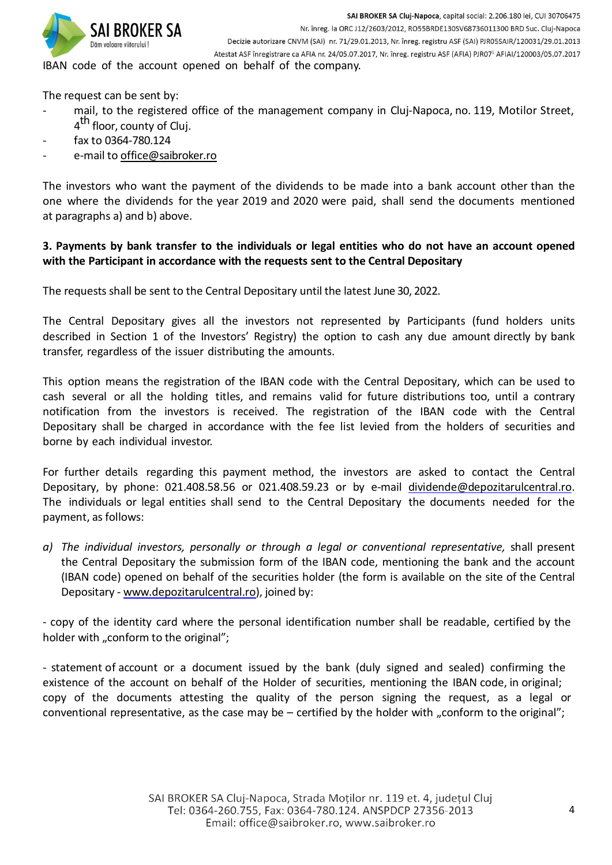

IBAN code of the account opened on behalf of the company.

The request can be sent by:

- mail, to the registered office of the management company in Cluj-Napoca, no. 119, Motilor Street, 4<sup>th</sup> floor, county of Cluj.
- fax to 0364-780.124
- e-mail to [office@saibroker.ro](mailto:office@saibroker.ro)

The investors who want the payment of the dividends to be made into a bank account other than the one where the dividends for the year 2019 and 2020 were paid, shall send the documents mentioned at paragraphs a) and b) above.

### 3. Payments by bank transfer to the individuals or legal entities who do not have an account opened **with the Participant in accordance with the requests sent to the Central Depositary**

The requests shall be sent to the Central Depositary until the latest June 30, 2022.

The Central Depositary gives all the investors not represented by Participants (fund holders units described in Section 1 of the Investors' Registry) the option to cash any due amount directly by bank transfer, regardless of the issuer distributing the amounts.

This option means the registration of the IBAN code with the Central Depositary, which can be used to cash several or all the holding titles, and remains valid for future distributions too, until a contrary notification from the investors is received. The registration of the IBAN code with the Central Depositary shall be charged in accordance with the fee list levied from the holders of securities and borne by each individual investor.

For further details regarding this payment method, the investors are asked to contact the Central Depositary, by phone: 021.408.58.56 or 021.408.59.23 or by e-mail [dividende@depozitarulcentral.ro.](mailto:dividende@depozitarulcentral.ro) The individuals or legal entities shall send to the Central Depositary the documents needed for the payment, as follows:

*a) The individual investors, personally or through a legal or conventional representative,* shall present the Central Depositary the submission form of the IBAN code, mentioning the bank and the account (IBAN code) opened on behalf of the securities holder (the form is available on the site of the Central Depositary - www.depozitarulcentral.ro), joined by:

- copy of the identity card where the personal identification number shall be readable, certified by the holder with "conform to the original";

- statement of account or a document issued by the bank (duly signed and sealed) confirming the existence of the account on behalf of the Holder of securities, mentioning the IBAN code, in original; copy of the documents attesting the quality of the person signing the request, as a legal or conventional representative, as the case may be  $-$  certified by the holder with "conform to the original";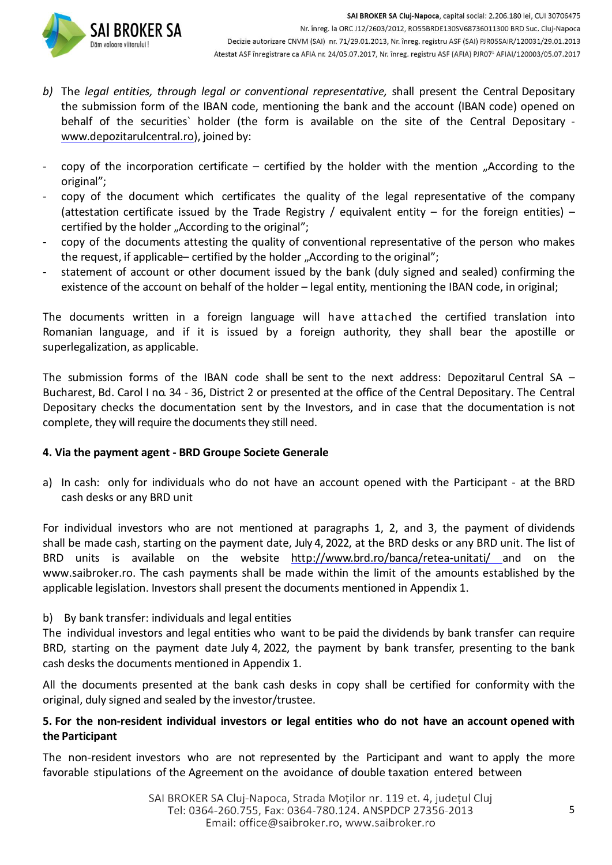- *b)* The *legal entities, through legal or conventional representative,* shall present the Central Depositary the submission form of the IBAN code, mentioning the bank and the account (IBAN code) opened on behalf of the securities` holder (the form is available on the site of the Central Depositary www.depozitarulcentral.ro), joined by:
- copy of the incorporation certificate certified by the holder with the mention "According to the original";
- copy of the document which certificates the quality of the legal representative of the company (attestation certificate issued by the Trade Registry / equivalent entity – for the foreign entities) – certified by the holder "According to the original";
- copy of the documents attesting the quality of conventional representative of the person who makes the request, if applicable– certified by the holder "According to the original";
- statement of account or other document issued by the bank (duly signed and sealed) confirming the existence of the account on behalf of the holder – legal entity, mentioning the IBAN code, in original;

The documents written in a foreign language will have attached the certified translation into Romanian language, and if it is issued by a foreign authority, they shall bear the apostille or superlegalization, as applicable.

The submission forms of the IBAN code shall be sent to the next address: Depozitarul Central SA – Bucharest, Bd. Carol I no. 34 - 36, District 2 or presented at the office of the Central Depositary. The Central Depositary checks the documentation sent by the Investors, and in case that the documentation is not complete, they will require the documents they still need.

# **4. Via the payment agent - BRD Groupe Societe Generale**

a) In cash: only for individuals who do not have an account opened with the Participant - at the BRD cash desks or any BRD unit

For individual investors who are not mentioned at paragraphs 1, 2, and 3, the payment of dividends shall be made cash, starting on the payment date, July 4, 2022, at the BRD desks or any BRD unit. The list of BRD units is available on the website <http://www.brd.ro/banca/retea-unitati/> and on the [www.saibroker.ro.](http://www.saibroker.ro/) The cash payments shall be made within the limit of the amounts established by the applicable legislation. Investors shall present the documents mentioned in Appendix 1.

# b) By bank transfer: individuals and legal entities

The individual investors and legal entities who want to be paid the dividends by bank transfer can require BRD, starting on the payment date July 4, 2022, the payment by bank transfer, presenting to the bank cash desks the documents mentioned in Appendix 1.

All the documents presented at the bank cash desks in copy shall be certified for conformity with the original, duly signed and sealed by the investor/trustee.

# **5. For the non-resident individual investors or legal entities who do not have an account opened with the Participant**

The non-resident investors who are not represented by the Participant and want to apply the more favorable stipulations of the Agreement on the avoidance of double taxation entered between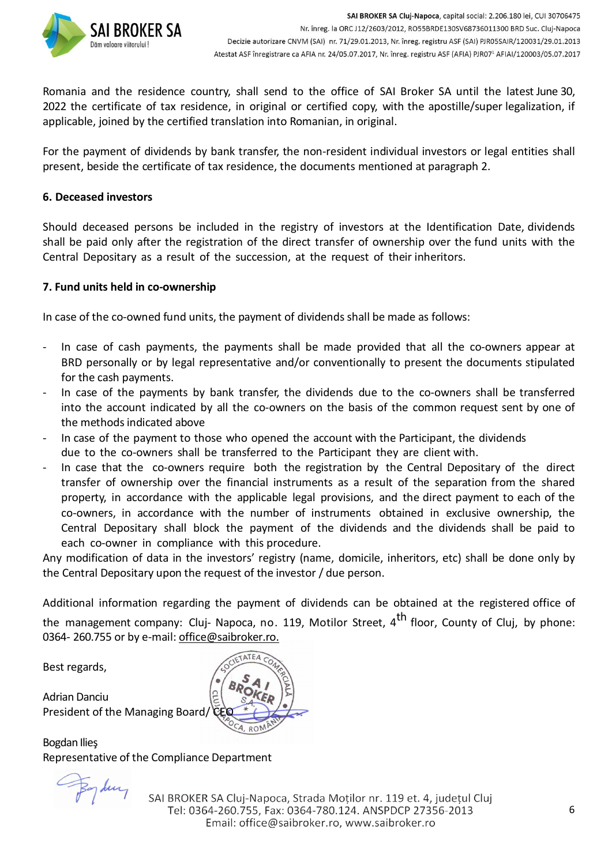

Romania and the residence country, shall send to the office of SAI Broker SA until the latest June 30, 2022 the certificate of tax residence, in original or certified copy, with the apostille/super legalization, if applicable, joined by the certified translation into Romanian, in original.

For the payment of dividends by bank transfer, the non-resident individual investors or legal entities shall present, beside the certificate of tax residence, the documents mentioned at paragraph 2.

#### **6. Deceased investors**

Should deceased persons be included in the registry of investors at the Identification Date, dividends shall be paid only after the registration of the direct transfer of ownership over the fund units with the Central Depositary as a result of the succession, at the request of their inheritors.

#### **7. Fund units held in co-ownership**

In case of the co-owned fund units, the payment of dividends shall be made as follows:

- In case of cash payments, the payments shall be made provided that all the co-owners appear at BRD personally or by legal representative and/or conventionally to present the documents stipulated for the cash payments.
- In case of the payments by bank transfer, the dividends due to the co-owners shall be transferred into the account indicated by all the co-owners on the basis of the common request sent by one of the methods indicated above
- In case of the payment to those who opened the account with the Participant, the dividends due to the co-owners shall be transferred to the Participant they are client with.
- In case that the co-owners require both the registration by the Central Depositary of the direct transfer of ownership over the financial instruments as a result of the separation from the shared property, in accordance with the applicable legal provisions, and the direct payment to each of the co-owners, in accordance with the number of instruments obtained in exclusive ownership, the Central Depositary shall block the payment of the dividends and the dividends shall be paid to each co-owner in compliance with this procedure.

Any modification of data in the investors' registry (name, domicile, inheritors, etc) shall be done only by the Central Depositary upon the request of the investor / due person.

Additional information regarding the payment of dividends can be obtained at the registered office of the management company: Cluj- Napoca, no. 119, Motilor Street, 4<sup>th</sup> floor, County of Cluj, by phone: 0364- 260.755 or by e-mail: [office@saibroker.ro.](mailto:office@saibroker.ro)

Best regards,

Adrian Danciu President of the Managing Board,

Bogdan Ilieş Representative of the Compliance Department

Bydung

SAI BROKER SA Clui-Napoca, Strada Motilor nr. 119 et. 4, judetul Clui Tel: 0364-260.755, Fax: 0364-780.124. ANSPDCP 27356-2013 Email: office@saibroker.ro, www.saibroker.ro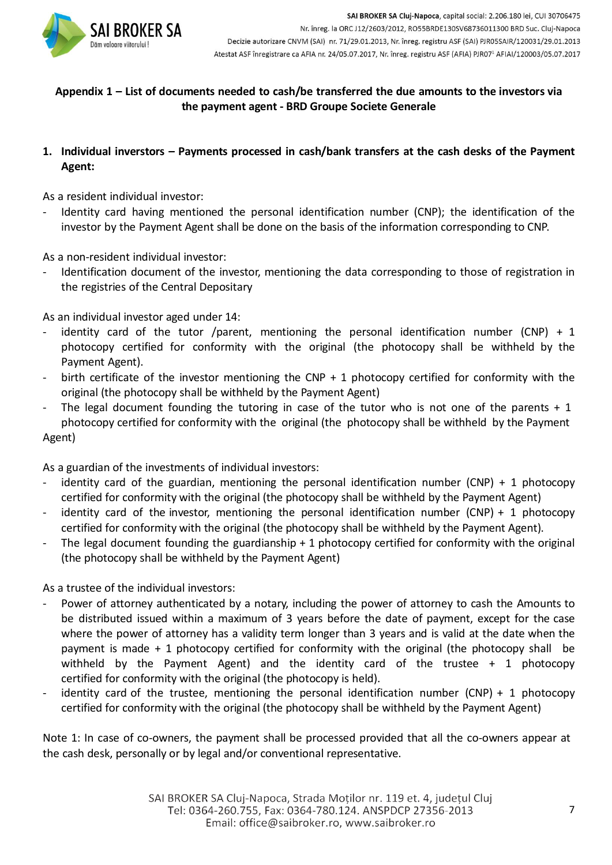

## **Appendix 1 – List of documents needed to cash/be transferred the due amounts to the investors via the payment agent - BRD Groupe Societe Generale**

**1. Individual inverstors – Payments processed in cash/bank transfers at the cash desks of the Payment Agent:**

As a resident individual investor:

Identity card having mentioned the personal identification number (CNP); the identification of the investor by the Payment Agent shall be done on the basis of the information corresponding to CNP.

As a non-resident individual investor:

Identification document of the investor, mentioning the data corresponding to those of registration in the registries of the Central Depositary

As an individual investor aged under 14:

- identity card of the tutor /parent, mentioning the personal identification number (CNP)  $+1$ photocopy certified for conformity with the original (the photocopy shall be withheld by the Payment Agent).
- birth certificate of the investor mentioning the CNP  $+$  1 photocopy certified for conformity with the original (the photocopy shall be withheld by the Payment Agent)
- The legal document founding the tutoring in case of the tutor who is not one of the parents + 1 photocopy certified for conformity with the original (the photocopy shall be withheld by the Payment Agent)

As a guardian of the investments of individual investors:

- identity card of the guardian, mentioning the personal identification number  $(CNP) + 1$  photocopy certified for conformity with the original (the photocopy shall be withheld by the Payment Agent)
- identity card of the investor, mentioning the personal identification number (CNP) + 1 photocopy certified for conformity with the original (the photocopy shall be withheld by the Payment Agent).
- The legal document founding the guardianship + 1 photocopy certified for conformity with the original (the photocopy shall be withheld by the Payment Agent)

As a trustee of the individual investors:

- Power of attorney authenticated by a notary, including the power of attorney to cash the Amounts to be distributed issued within a maximum of 3 years before the date of payment, except for the case where the power of attorney has a validity term longer than 3 years and is valid at the date when the payment is made + 1 photocopy certified for conformity with the original (the photocopy shall be withheld by the Payment Agent) and the identity card of the trustee + 1 photocopy certified for conformity with the original (the photocopy is held).
- identity card of the trustee, mentioning the personal identification number  $(CNP) + 1$  photocopy certified for conformity with the original (the photocopy shall be withheld by the Payment Agent)

Note 1: In case of co-owners, the payment shall be processed provided that all the co-owners appear at the cash desk, personally or by legal and/or conventional representative.